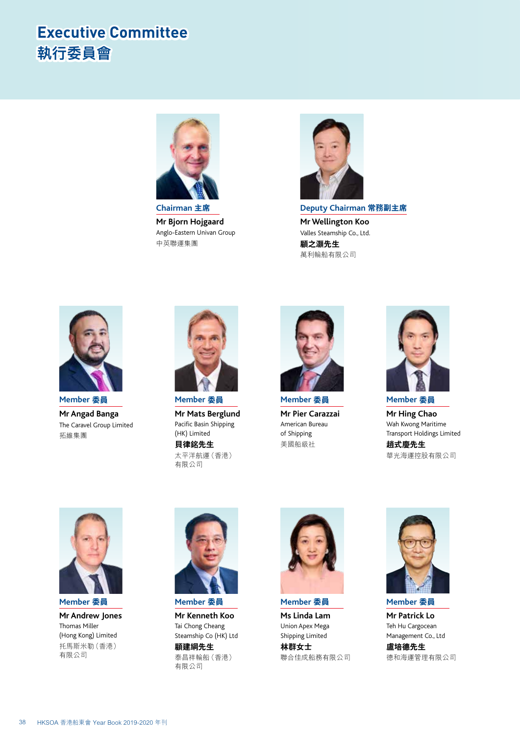## **Executive Committee 執行委員會**



**Mr Bjorn Hojgaard** Anglo-Eastern Univan Group 中英聯運集團



**Deputy Chairman 常務副主席 Mr Wellington Koo** Valles Steamship Co., Ltd. **顧之灝先生** 萬利輪船有限公司



**Member 委員 Mr Angad Banga** The Caravel Group Limited 拓維集團



**Member 委員 Mr Mats Berglund** Pacific Basin Shipping (HK) Limited **貝律銘先生**

太平洋航運(香港) 有限公司



**Member 委員 Mr Pier Carazzai** American Bureau of Shipping 美國船級社



**Member 委員 Mr Hing Chao** Wah Kwong Maritime Transport Holdings Limited

**趙式慶先生** 華光海運控股有限公司



**Member 委員 Mr Andrew Jones** Thomas Miller (Hong Kong) Limited 托馬斯米勒(香港) 有限公司



**Member 委員**

**Mr Kenneth Koo** Tai Chong Cheang Steamship Co (HK) Ltd **顧建綱先生** 泰昌祥輪船(香港) 有限公司



**Member 委員 Ms Linda Lam** Union Apex Mega

Shipping Limited **林群女士** 聯合佳成船務有限公司



**Member 委員**

**Mr Patrick Lo** Teh Hu Cargocean Management Co., Ltd **盧培德先生**

德和海運管理有限公司